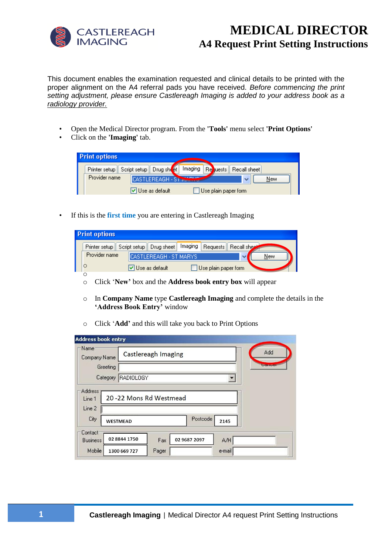

## **MEDICAL DIRECTOR A4 Request Print Setting Instructions**

This document enables the examination requested and clinical details to be printed with the proper alignment on the A4 referral pads you have received. *Before commencing the print setting adjustment, please ensure Castlereagh Imaging is added to your address book as a radiology provider.*

- Open the Medical Director program. From the **'Tools'** menu select **'Print Options'**
- Click on the **'Imaging'** tab.

| <b>Print options</b>                                                                   |
|----------------------------------------------------------------------------------------|
| Imaging<br><b>Re</b><br>Printer setup Script setup Drug shot<br>Recall sheet<br>quests |
| Provider name<br>CASTLEREAGH - STRAINING<br>New<br>$\checkmark$                        |
| Use plain paper form<br>∨ Use as default                                               |

• If this is the **first time** you are entering in Castlereagh Imaging

| <b>Print options</b> |               |                                                                             |  |                      |  |     |  |
|----------------------|---------------|-----------------------------------------------------------------------------|--|----------------------|--|-----|--|
|                      |               | Printer setup Script setup   Drug sheet   Imaging   Requests   Recall sheet |  |                      |  |     |  |
|                      | Provider name | CASTLEREAGH - ST MARYS                                                      |  |                      |  | New |  |
|                      | C             | V Use as default                                                            |  | Use plain paper form |  |     |  |
|                      |               |                                                                             |  |                      |  |     |  |

- o Click '**New'** box and the **Address book entry box** will appear
- o In **Company Name** type **Castlereagh Imaging** and complete the details in the **'Address Book Entry'** window
- o Click '**Add'** and this will take you back to Print Options

| - Name<br>Company Name                      |                  | Castlereagh Imaging |                  | Add             |
|---------------------------------------------|------------------|---------------------|------------------|-----------------|
| Greeting                                    |                  |                     |                  | <b>Consumer</b> |
| Category                                    | <b>RADIOLOGY</b> |                     |                  |                 |
| Address<br>20-22 Mons Rd Westmead<br>Line 1 |                  |                     |                  |                 |
| Line 2<br>City                              | WESTMEAD         |                     | Postcode<br>2145 |                 |
| Contact<br><b>Business</b>                  | 02 8844 1750     | 02 9687 2097<br>Fax | A/H              |                 |
| Mobile                                      | 1300 669 727     | Pager               | e-mail           |                 |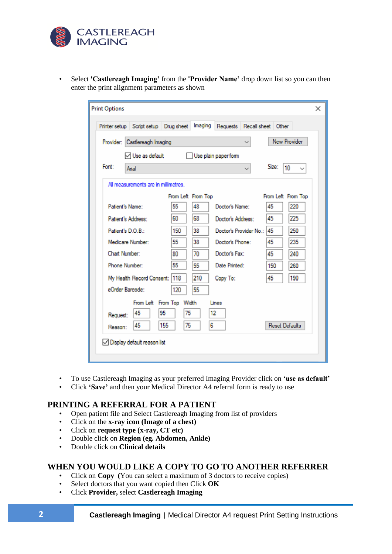

| Select <b>'Castlereagh Imaging'</b> from the <b>'Provider Name'</b> drop down list so you can then |
|----------------------------------------------------------------------------------------------------|
| enter the print alignment parameters as shown                                                      |

| <b>Print Options</b> |                                               |     |                    |                             |       |                       | × |  |
|----------------------|-----------------------------------------------|-----|--------------------|-----------------------------|-------|-----------------------|---|--|
|                      | Printer setup Script setup Drug sheet Imaging |     |                    | Requests Recall sheet Other |       |                       |   |  |
|                      | Provider: Castlereagh Imaging                 |     |                    |                             |       | <b>New Provider</b>   |   |  |
|                      | $\vee$ Use as default<br>Use plain paper form |     |                    |                             |       |                       |   |  |
| Font:                | Arial                                         |     |                    |                             | Size: | 10                    |   |  |
|                      | All measurements are in millimetres.          |     |                    |                             |       |                       |   |  |
|                      |                                               |     | From Left From Top |                             |       | From Left From Top    |   |  |
| Patient's Name:      |                                               | 55  | 48                 | Doctor's Name:              | 45    | 220                   |   |  |
| Patient's Address:   |                                               | 60  | 68                 | Doctor's Address:           | 45    | 225                   |   |  |
| Patient's D.O.B :    |                                               | 150 | 38                 | Doctor's Provider No.: 45   |       | 250                   |   |  |
|                      | Medicare Number:                              | 55  | 38                 | Doctor's Phone:             | 45    | 235                   |   |  |
| Chart Number:        |                                               | 80  | 70                 | Doctor's Fax:               | 45    | 240                   |   |  |
| Phone Number:        |                                               | 55  | 55                 | Date Printed:               | 150   | 260                   |   |  |
|                      | My Health Record Consent: 118                 |     | 210                | Copy To:                    | 45    | 190                   |   |  |
| eOrder Barcode:      |                                               | 120 | 55                 |                             |       |                       |   |  |
|                      | From Left From Top Width<br>Lines             |     |                    |                             |       |                       |   |  |
| Request:             | 45<br>95                                      | 75  |                    | 12                          |       |                       |   |  |
| Reason:              | 45<br>155                                     | 75  | 6                  |                             |       | <b>Reset Defaults</b> |   |  |
|                      | ◯ Display default reason list                 |     |                    |                             |       |                       |   |  |

- To use Castlereagh Imaging as your preferred Imaging Provider click on **'use as default'**
- Click **'Save'** and then your Medical Director A4 referral form is ready to use

## **PRINTING A REFERRAL FOR A PATIENT**

- Open patient file and Select Castlereagh Imaging from list of providers
- Click on the **x-ray icon (Image of a chest)**
- Click on **request type (x-ray, CT etc)**
- Double click on **Region (eg. Abdomen, Ankle)**
- Double click on **Clinical details**

## **WHEN YOU WOULD LIKE A COPY TO GO TO ANOTHER REFERRER**

- Click on **Copy (**You can select a maximum of 3 doctors to receive copies)
- Select doctors that you want copied then Click **OK**
- Click **Provider,** select **Castlereagh Imaging**